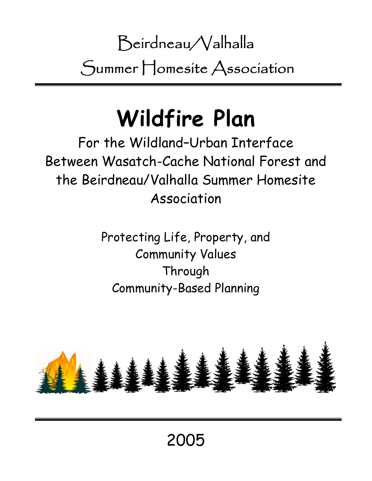Beirdneau/Valhalla Summer Homesite Association

# **Wildfire Plan**

For the Wildland–Urban Interface Between Wasatch-Cache National Forest and the Beirdneau/Valhalla Summer Homesite Association

> Protecting Life, Property, and Community Values Through Community-Based Planning

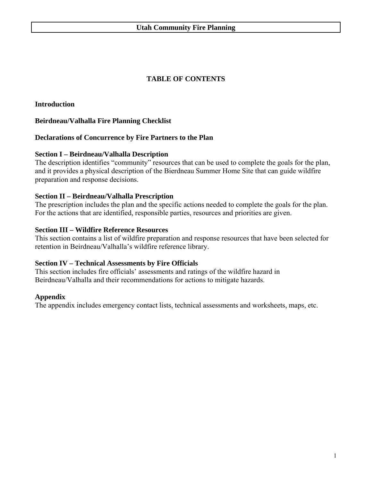# **TABLE OF CONTENTS**

**Introduction** 

# **Beirdneau/Valhalla Fire Planning Checklist**

# **Declarations of Concurrence by Fire Partners to the Plan**

# **Section I – Beirdneau/Valhalla Description**

The description identifies "community" resources that can be used to complete the goals for the plan, and it provides a physical description of the Bierdneau Summer Home Site that can guide wildfire preparation and response decisions.

# **Section II – Beirdneau/Valhalla Prescription**

The prescription includes the plan and the specific actions needed to complete the goals for the plan. For the actions that are identified, responsible parties, resources and priorities are given.

# **Section III – Wildfire Reference Resources**

This section contains a list of wildfire preparation and response resources that have been selected for retention in Beirdneau/Valhalla's wildfire reference library.

# **Section IV – Technical Assessments by Fire Officials**

This section includes fire officials' assessments and ratings of the wildfire hazard in Beirdneau/Valhalla and their recommendations for actions to mitigate hazards.

# **Appendix**

The appendix includes emergency contact lists, technical assessments and worksheets, maps, etc.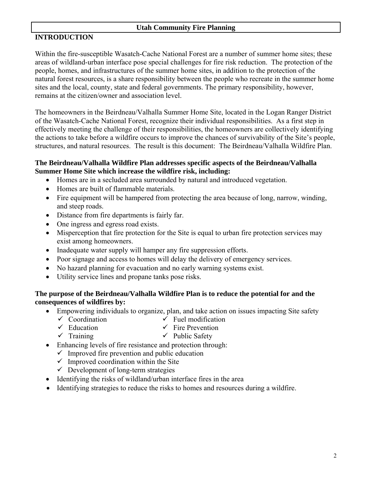# **INTRODUCTION**

Within the fire-susceptible Wasatch-Cache National Forest are a number of summer home sites; these areas of wildland-urban interface pose special challenges for fire risk reduction. The protection of the people, homes, and infrastructures of the summer home sites, in addition to the protection of the natural forest resources, is a share responsibility between the people who recreate in the summer home sites and the local, county, state and federal governments. The primary responsibility, however, remains at the citizen/owner and association level.

The homeowners in the Beirdneau/Valhalla Summer Home Site, located in the Logan Ranger District of the Wasatch-Cache National Forest, recognize their individual responsibilities. As a first step in effectively meeting the challenge of their responsibilities, the homeowners are collectively identifying the actions to take before a wildfire occurs to improve the chances of survivability of the Site's people, structures, and natural resources. The result is this document: The Beirdneau/Valhalla Wildfire Plan.

# **The Beirdneau/Valhalla Wildfire Plan addresses specific aspects of the Beirdneau/Valhalla Summer Home Site which increase the wildfire risk, including:**

- Homes are in a secluded area surrounded by natural and introduced vegetation.
- Homes are built of flammable materials.
- Fire equipment will be hampered from protecting the area because of long, narrow, winding, and steep roads.
- Distance from fire departments is fairly far.
- One ingress and egress road exists.
- Misperception that fire protection for the Site is equal to urban fire protection services may exist among homeowners.
- Inadequate water supply will hamper any fire suppression efforts.
- Poor signage and access to homes will delay the delivery of emergency services.
- No hazard planning for evacuation and no early warning systems exist.
- Utility service lines and propane tanks pose risks.

# **The purpose of the Beirdneau/Valhalla Wildfire Plan is to reduce the potential for and the consequences of wildfires by:**

- Empowering individuals to organize, plan, and take action on issues impacting Site safety  $\checkmark$  Coordination  $\checkmark$  Fuel modification
	- $\checkmark$  Education  $\checkmark$  Fire Prevention
	- $\checkmark$  Training  $\checkmark$  Public Safety
- Enhancing levels of fire resistance and protection through:
	- $\checkmark$  Improved fire prevention and public education
	- $\checkmark$  Improved coordination within the Site
	- $\checkmark$  Development of long-term strategies
- Identifying the risks of wildland/urban interface fires in the area
- Identifying strategies to reduce the risks to homes and resources during a wildfire.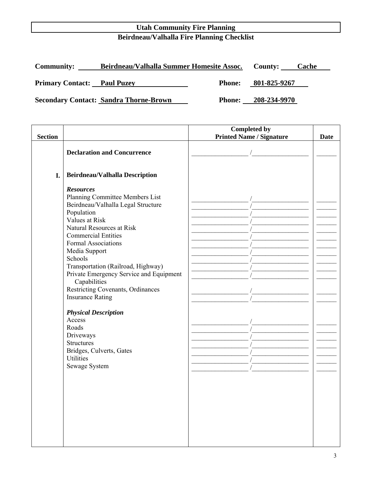# **Utah Community Fire Planning Beirdneau/Valhalla Fire Planning Checklist**

| <b>Community:</b>                  | Beirdneau/Valhalla Summer Homesite Assoc.     |               | County:      | <b>Cache</b> |
|------------------------------------|-----------------------------------------------|---------------|--------------|--------------|
| <b>Primary Contact:</b> Paul Puzey |                                               | <b>Phone:</b> | 801-825-9267 |              |
|                                    | <b>Secondary Contact: Sandra Thorne-Brown</b> | <b>Phone:</b> | 208-234-9970 |              |

| <b>Section</b> |                                                              | <b>Completed by</b>             |             |
|----------------|--------------------------------------------------------------|---------------------------------|-------------|
|                |                                                              | <b>Printed Name / Signature</b> | <b>Date</b> |
|                | <b>Declaration and Concurrence</b>                           |                                 |             |
|                |                                                              |                                 |             |
|                |                                                              |                                 |             |
| I.             | <b>Beirdneau/Valhalla Description</b>                        |                                 |             |
|                | <b>Resources</b>                                             |                                 |             |
|                | Planning Committee Members List                              |                                 |             |
|                | Beirdneau/Valhalla Legal Structure                           |                                 |             |
|                | Population                                                   |                                 |             |
|                | Values at Risk                                               |                                 |             |
|                | Natural Resources at Risk                                    |                                 |             |
|                | <b>Commercial Entities</b>                                   |                                 |             |
|                | <b>Formal Associations</b>                                   |                                 |             |
|                | Media Support                                                |                                 |             |
|                | Schools                                                      |                                 |             |
|                | Transportation (Railroad, Highway)                           |                                 |             |
|                | Private Emergency Service and Equipment<br>Capabilities      |                                 |             |
|                |                                                              |                                 |             |
|                | Restricting Covenants, Ordinances<br><b>Insurance Rating</b> |                                 |             |
|                |                                                              |                                 |             |
|                | <b>Physical Description</b>                                  |                                 |             |
|                | Access                                                       |                                 |             |
|                | Roads                                                        |                                 |             |
|                | Driveways                                                    |                                 |             |
|                | <b>Structures</b>                                            |                                 |             |
|                | Bridges, Culverts, Gates                                     |                                 |             |
|                | <b>Utilities</b>                                             |                                 |             |
|                | Sewage System                                                |                                 |             |
|                |                                                              |                                 |             |
|                |                                                              |                                 |             |
|                |                                                              |                                 |             |
|                |                                                              |                                 |             |
|                |                                                              |                                 |             |
|                |                                                              |                                 |             |
|                |                                                              |                                 |             |
|                |                                                              |                                 |             |
|                |                                                              |                                 |             |
|                |                                                              |                                 |             |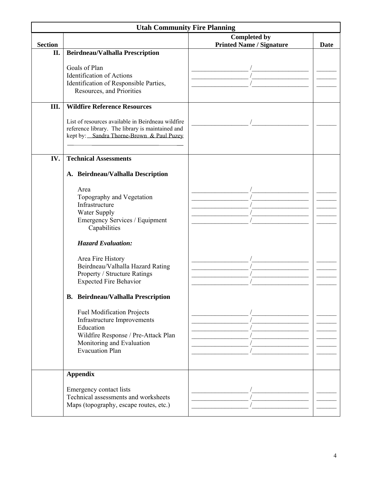| <b>Utah Community Fire Planning</b> |                                                                  |                                 |      |  |  |
|-------------------------------------|------------------------------------------------------------------|---------------------------------|------|--|--|
|                                     |                                                                  | <b>Completed by</b>             |      |  |  |
| <b>Section</b>                      |                                                                  | <b>Printed Name / Signature</b> | Date |  |  |
| II.                                 | Beirdneau/Valhalla Prescription                                  |                                 |      |  |  |
|                                     |                                                                  |                                 |      |  |  |
|                                     | Goals of Plan                                                    |                                 |      |  |  |
|                                     | <b>Identification of Actions</b>                                 |                                 |      |  |  |
|                                     | Identification of Responsible Parties,                           |                                 |      |  |  |
|                                     | Resources, and Priorities                                        |                                 |      |  |  |
| Ш.                                  | <b>Wildfire Reference Resources</b>                              |                                 |      |  |  |
|                                     |                                                                  |                                 |      |  |  |
|                                     | List of resources available in Beirdneau wildfire                |                                 |      |  |  |
|                                     | reference library. The library is maintained and                 |                                 |      |  |  |
|                                     | kept by: Sandra Thorne-Brown & Paul Puzey                        |                                 |      |  |  |
|                                     |                                                                  |                                 |      |  |  |
| IV.                                 | <b>Technical Assessments</b>                                     |                                 |      |  |  |
|                                     |                                                                  |                                 |      |  |  |
|                                     | A. Beirdneau/Valhalla Description                                |                                 |      |  |  |
|                                     | Area                                                             |                                 |      |  |  |
|                                     | Topography and Vegetation                                        |                                 |      |  |  |
|                                     | Infrastructure                                                   |                                 |      |  |  |
|                                     | Water Supply                                                     |                                 |      |  |  |
|                                     | Emergency Services / Equipment                                   |                                 |      |  |  |
|                                     | Capabilities                                                     |                                 |      |  |  |
|                                     |                                                                  |                                 |      |  |  |
|                                     | <b>Hazard Evaluation:</b>                                        |                                 |      |  |  |
|                                     | Area Fire History                                                |                                 |      |  |  |
|                                     | Beirdneau/Valhalla Hazard Rating                                 |                                 |      |  |  |
|                                     | Property / Structure Ratings                                     |                                 |      |  |  |
|                                     | <b>Expected Fire Behavior</b>                                    |                                 |      |  |  |
|                                     |                                                                  |                                 |      |  |  |
|                                     | <b>B.</b> Beirdneau/Valhalla Prescription                        |                                 |      |  |  |
|                                     |                                                                  |                                 |      |  |  |
|                                     | <b>Fuel Modification Projects</b>                                |                                 |      |  |  |
|                                     | Infrastructure Improvements                                      |                                 |      |  |  |
|                                     | Education                                                        |                                 |      |  |  |
|                                     | Wildfire Response / Pre-Attack Plan<br>Monitoring and Evaluation |                                 |      |  |  |
|                                     | <b>Evacuation Plan</b>                                           |                                 |      |  |  |
|                                     |                                                                  |                                 |      |  |  |
|                                     |                                                                  |                                 |      |  |  |
|                                     | <b>Appendix</b>                                                  |                                 |      |  |  |
|                                     |                                                                  |                                 |      |  |  |
|                                     | Emergency contact lists                                          |                                 |      |  |  |
|                                     | Technical assessments and worksheets                             |                                 |      |  |  |
|                                     | Maps (topography, escape routes, etc.)                           |                                 |      |  |  |
|                                     |                                                                  |                                 |      |  |  |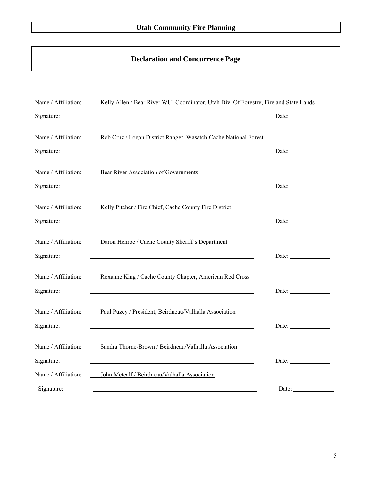# **Declaration and Concurrence Page**

| Name / Affiliation:               | Kelly Allen / Bear River WUI Coordinator, Utah Div. Of Forestry, Fire and State Lands                                                                                                                                                                                                            |                                                                  |
|-----------------------------------|--------------------------------------------------------------------------------------------------------------------------------------------------------------------------------------------------------------------------------------------------------------------------------------------------|------------------------------------------------------------------|
| Signature:                        |                                                                                                                                                                                                                                                                                                  | Date:                                                            |
| Name / Affiliation:<br>Signature: | Rob Cruz / Logan District Ranger, Wasatch-Cache National Forest<br>the control of the control of the control of the control of the control of the control of the control of the control of the control of the control of the control of the control of the control of the control of the control | Date: $\frac{1}{\sqrt{1-\frac{1}{2}} \cdot \frac{1}{2}}$         |
| Name / Affiliation:               | <b>Bear River Association of Governments</b>                                                                                                                                                                                                                                                     |                                                                  |
| Signature:                        |                                                                                                                                                                                                                                                                                                  | Date: $\qquad \qquad$                                            |
| Name / Affiliation:<br>Signature: | Kelly Pitcher / Fire Chief, Cache County Fire District                                                                                                                                                                                                                                           | Date:                                                            |
| Name / Affiliation:<br>Signature: | Daron Henroe / Cache County Sheriff's Department                                                                                                                                                                                                                                                 | Date: $\frac{1}{\sqrt{1-\frac{1}{2}}\cdot\frac{1}{2}}$           |
| Name / Affiliation:<br>Signature: | Roxanne King / Cache County Chapter, American Red Cross                                                                                                                                                                                                                                          | Date: $\frac{1}{\sqrt{1-\frac{1}{2}}\left(1-\frac{1}{2}\right)}$ |
| Name / Affiliation:<br>Signature: | Paul Puzey / President, Beirdneau/Valhalla Association                                                                                                                                                                                                                                           | Date:                                                            |
| Name / Affiliation:<br>Signature: | Sandra Thorne-Brown / Beirdneau/Valhalla Association                                                                                                                                                                                                                                             | Date:                                                            |
| Name / Affiliation:               | John Metcalf / Beirdneau/Valhalla Association                                                                                                                                                                                                                                                    |                                                                  |
| Signature:                        |                                                                                                                                                                                                                                                                                                  | Date:                                                            |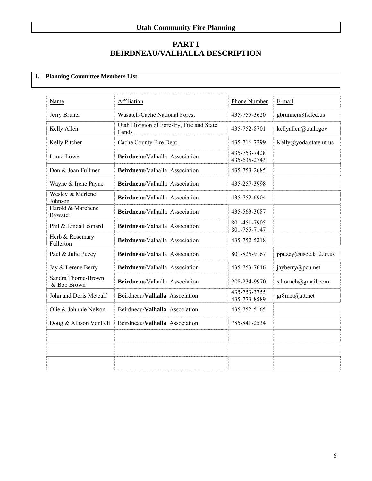# **PART I BEIRDNEAU/VALHALLA DESCRIPTION**

# **1. Planning Committee Members List**

| Name                                | <b>Affiliation</b>                                 | Phone Number                 | E-mail                 |
|-------------------------------------|----------------------------------------------------|------------------------------|------------------------|
| Jerry Bruner                        | <b>Wasatch-Cache National Forest</b>               | 435-755-3620                 | gbrunner@fs.fed.us     |
| Kelly Allen                         | Utah Division of Forestry, Fire and State<br>Lands | 435-752-8701                 | kellyallen@utah.gov    |
| Kelly Pitcher                       | Cache County Fire Dept.                            | 435-716-7299                 | Kelly@yoda.state.ut.us |
| Laura Lowe                          | Beirdneau/Valhalla Association                     | 435-753-7428<br>435-635-2743 |                        |
| Don & Joan Fullmer                  | Beirdneau/Valhalla Association                     | 435-753-2685                 |                        |
| Wayne & Irene Payne                 | Beirdneau/Valhalla Association                     | 435-257-3998                 |                        |
| Wesley & Merlene<br>Johnson         | Beirdneau/Valhalla Association                     | 435-752-6904                 |                        |
| Harold & Marchene<br><b>Bywater</b> | Beirdneau/Valhalla Association                     | 435-563-3087                 |                        |
| Phil & Linda Leonard                | Beirdneau/Valhalla Association                     | 801-451-7905<br>801-755-7147 |                        |
| Herb & Rosemary<br>Fullerton        | Beirdneau/Valhalla Association                     | 435-752-5218                 |                        |
| Paul & Julie Puzey                  | Beirdneau/Valhalla Association                     | 801-825-9167                 | ppuzey@usoe.k12.ut.us  |
| Jay & Lerene Berry                  | Beirdneau/Valhalla Association                     | 435-753-7646                 | jayberry@pcu.net       |
| Sandra Thorne-Brown<br>& Bob Brown  | Beirdneau/Valhalla Association                     | 208-234-9970                 | sthorneb@gmail.com     |
| John and Doris Metcalf              | Beirdneau/Valhalla Association                     | 435-753-3755<br>435-773-8589 | gr8met@att.net         |
| Olie & Johnnie Nelson               | Beirdneau/Valhalla Association                     | 435-752-5165                 |                        |
| Doug & Allison VonFelt              | Beirdneau/Valhalla Association                     | 785-841-2534                 |                        |
|                                     |                                                    |                              |                        |
|                                     |                                                    |                              |                        |
|                                     |                                                    |                              |                        |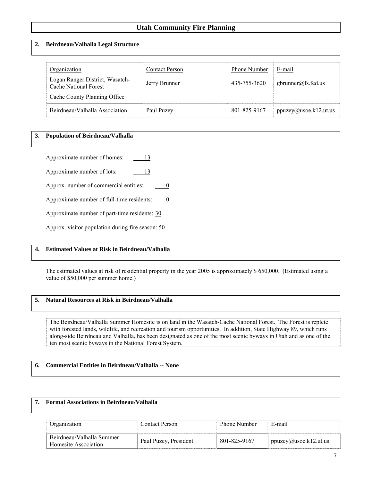#### **2. Beirdneau/Valhalla Legal Structure**

| Organization                                                    | <b>Contact Person</b> | <b>Phone Number</b> | E-mail                |
|-----------------------------------------------------------------|-----------------------|---------------------|-----------------------|
| Logan Ranger District, Wasatch-<br><b>Cache National Forest</b> | Jerry Brunner         | 435-755-3620        | gbrunner@fs.fed.us    |
| Cache County Planning Office                                    |                       |                     |                       |
| Beirdneau/Valhalla Association                                  | Paul Puzey            | 801-825-9167        | ppuzey@usoe.k12.ut.us |

#### **3. Population of Beirdneau/Valhalla**

Approximate number of homes:  $\qquad \qquad \qquad 13$ 

Approximate number of lots: 13

Approx. number of commercial entities:  $\qquad \qquad 0$ 

Approximate number of full-time residents:  $\qquad 0$ 

Approximate number of part-time residents: 30

Approx. visitor population during fire season: 50

#### **4. Estimated Values at Risk in Beirdneau/Valhalla**

The estimated values at risk of residential property in the year 2005 is approximately \$ 650,000. (Estimated using a value of \$50,000 per summer home.)

#### **5. Natural Resources at Risk in Beirdneau/Valhalla**

The Beirdneau/Valhalla Summer Homesite is on land in the Wasatch-Cache National Forest. The Forest is replete with forested lands, wildlife, and recreation and tourism opportunities. In addition, State Highway 89, which runs along-side Beirdneau and Valhalla, has been designated as one of the most scenic byways in Utah and as one of the ten most scenic byways in the National Forest System.

#### **6. Commercial Entities in Beirdneau/Valhalla -- None**

#### **7. Formal Associations in Beirdneau/Valhalla**

|                                                   | Contact Person-       | <b>Phone Number</b> | E-mail                             |
|---------------------------------------------------|-----------------------|---------------------|------------------------------------|
| Beirdneau/Valhalla Summer<br>Homesite Association | Paul Puzey, President | 801-825-9167        | $p \text{puzey}(a)$ usoe.k12.ut.us |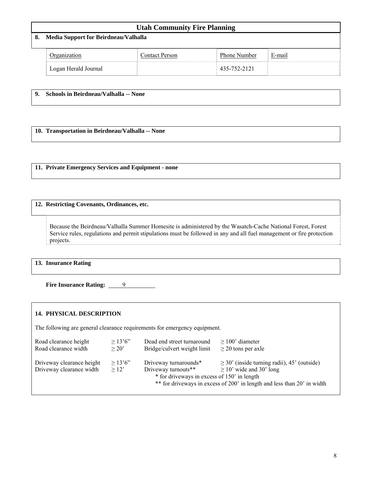| <b>Utah Community Fire Planning</b>     |                       |              |        |  |
|-----------------------------------------|-----------------------|--------------|--------|--|
| 8. Media Support for Beirdneau/Valhalla |                       |              |        |  |
| Organization                            | <b>Contact Person</b> | Phone Number | E-mail |  |
| Logan Herald Journal                    |                       | 435-752-2121 |        |  |

| 9. Schools in Beirdneau/Valhalla -- None |
|------------------------------------------|
|                                          |

**10. Transportation in Beirdneau/Valhalla -- None** 

**11. Private Emergency Services and Equipment - none** 

#### **12. Restricting Covenants, Ordinances, etc.**

Because the Beirdneau/Valhalla Summer Homesite is administered by the Wasatch-Cache National Forest, Forest Service rules, regulations and permit stipulations must be followed in any and all fuel management or fire protection projects.

**13. Insurance Rating** 

**Fire Insurance Rating:** 9

#### **14. PHYSICAL DESCRIPTION**

The following are general clearance requirements for emergency equipment.

| Road clearance height                                 | >13'6''             | Dead end street turnaround                                                                  | $>100$ ' diameter                                                                                                                                           |
|-------------------------------------------------------|---------------------|---------------------------------------------------------------------------------------------|-------------------------------------------------------------------------------------------------------------------------------------------------------------|
| Road clearance width                                  | > 20'               | Bridge/culvert weight limit                                                                 | $\geq$ 20 tons per axle                                                                                                                                     |
| Driveway clearance height<br>Driveway clearance width | > 13'6''<br>$>12$ ' | Driveway turnarounds*<br>Driveway turnouts**<br>* for driveways in excess of 150' in length | $\geq$ 30' (inside turning radii), 45' (outside)<br>$\geq$ 10' wide and 30' long<br>** for driveways in excess of 200' in length and less than 20' in width |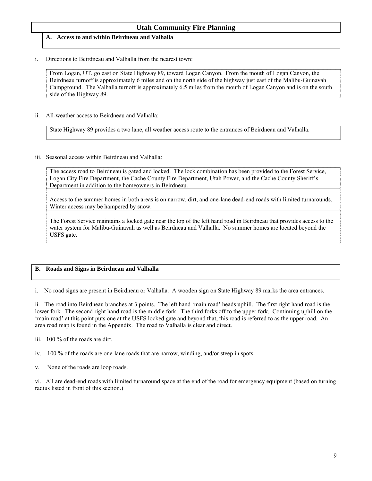# **A. Access to and within Beirdneau and Valhalla**

#### i. Directions to Beirdneau and Valhalla from the nearest town:

From Logan, UT, go east on State Highway 89, toward Logan Canyon. From the mouth of Logan Canyon, the Beirdneau turnoff is approximately 6 miles and on the north side of the highway just east of the Malibu-Guinavah Campground. The Valhalla turnoff is approximately 6.5 miles from the mouth of Logan Canyon and is on the south side of the Highway 89.

ii. All-weather access to Beirdneau and Valhalla:

State Highway 89 provides a two lane, all weather access route to the entrances of Beirdneau and Valhalla.

#### iii. Seasonal access within Beirdneau and Valhalla:

The access road to Beirdneau is gated and locked. The lock combination has been provided to the Forest Service, Logan City Fire Department, the Cache County Fire Department, Utah Power, and the Cache County Sheriff's Department in addition to the homeowners in Beirdneau.

Access to the summer homes in both areas is on narrow, dirt, and one-lane dead-end roads with limited turnarounds. Winter access may be hampered by snow.

The Forest Service maintains a locked gate near the top of the left hand road in Beirdneau that provides access to the water system for Malibu-Guinavah as well as Beirdneau and Valhalla. No summer homes are located beyond the USFS gate.

#### **B. Roads and Signs in Beirdneau and Valhalla**

i. No road signs are present in Beirdneau or Valhalla. A wooden sign on State Highway 89 marks the area entrances.

ii. The road into Beirdneau branches at 3 points. The left hand 'main road' heads uphill. The first right hand road is the lower fork. The second right hand road is the middle fork. The third forks off to the upper fork. Continuing uphill on the 'main road' at this point puts one at the USFS locked gate and beyond that, this road is referred to as the upper road. An area road map is found in the Appendix. The road to Valhalla is clear and direct.

- iii. 100 % of the roads are dirt.
- iv. 100 % of the roads are one-lane roads that are narrow, winding, and/or steep in spots.
- v. None of the roads are loop roads.

vi. All are dead-end roads with limited turnaround space at the end of the road for emergency equipment (based on turning radius listed in front of this section.)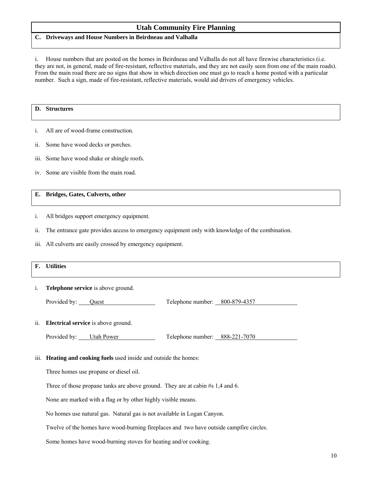#### **C. Driveways and House Numbers in Beirdneau and Valhalla**

i. House numbers that are posted on the homes in Beirdneau and Valhalla do not all have firewise characteristics (i.e. they are not, in general, made of fire-resistant, reflective materials, and they are not easily seen from one of the main roads). From the main road there are no signs that show in which direction one must go to reach a home posted with a particular number. Such a sign, made of fire-resistant, reflective materials, would aid drivers of emergency vehicles.

#### **D. Structures**

- i. All are of wood-frame construction.
- ii. Some have wood decks or porches.
- iii. Some have wood shake or shingle roofs.
- iv. Some are visible from the main road.

#### **E. Bridges, Gates, Culverts, other**

- i. All bridges support emergency equipment.
- ii. The entrance gate provides access to emergency equipment only with knowledge of the combination.
- iii. All culverts are easily crossed by emergency equipment.

# **F. Utilities**

i. **Telephone service** is above ground.

Provided by: <u>Quest Cluest Conserved Cluest</u> Telephone number: 800-879-4357

ii. **Electrical service** is above ground.

| Provided by: | <b>Utah Power</b> | $\mathbf{r}$<br>Telephone number: | 888-221-7070 |
|--------------|-------------------|-----------------------------------|--------------|
|--------------|-------------------|-----------------------------------|--------------|

iii. **Heating and cooking fuels** used inside and outside the homes:

Three homes use propane or diesel oil.

Three of those propane tanks are above ground. They are at cabin #s 1,4 and 6.

None are marked with a flag or by other highly visible means.

No homes use natural gas. Natural gas is not available in Logan Canyon.

Twelve of the homes have wood-burning fireplaces and two have outside campfire circles.

Some homes have wood-burning stoves for heating and/or cooking.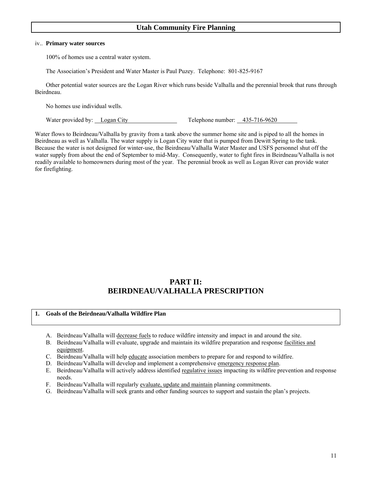#### iv.. **Primary water sources**

100% of homes use a central water system.

The Association's President and Water Master is Paul Puzey. Telephone: 801-825-9167

 Other potential water sources are the Logan River which runs beside Valhalla and the perennial brook that runs through Beirdneau.

No homes use individual wells.

Water provided by: Logan City Telephone number: 435-716-9620

Water flows to Beirdneau/Valhalla by gravity from a tank above the summer home site and is piped to all the homes in Beirdneau as well as Valhalla. The water supply is Logan City water that is pumped from Dewitt Spring to the tank. Because the water is not designed for winter-use, the Beirdneau/Valhalla Water Master and USFS personnel shut off the water supply from about the end of September to mid-May. Consequently, water to fight fires in Beirdneau/Valhalla is not readily available to homeowners during most of the year. The perennial brook as well as Logan River can provide water for firefighting.

# **PART II: BEIRDNEAU/VALHALLA PRESCRIPTION**

#### **1. Goals of the Beirdneau/Valhalla Wildfire Plan**

- A. Beirdneau/Valhalla will decrease fuels to reduce wildfire intensity and impact in and around the site.
- B. Beirdneau/Valhalla will evaluate, upgrade and maintain its wildfire preparation and response facilities and equipment.
- C. Beirdneau/Valhalla will help educate association members to prepare for and respond to wildfire.
- D. Beirdneau/Valhalla will develop and implement a comprehensive emergency response plan.
- E. Beirdneau/Valhalla will actively address identified regulative issues impacting its wildfire prevention and response needs.
- F. Beirdneau/Valhalla will regularly evaluate, update and maintain planning commitments.
- G. Beirdneau/Valhalla will seek grants and other funding sources to support and sustain the plan's projects.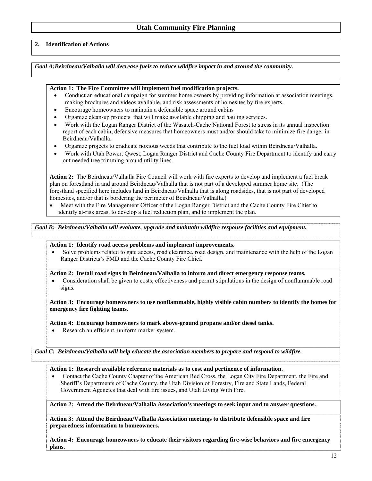#### **2. Identification of Actions**

*Goal A:Beirdneau/Valhalla will decrease fuels to reduce wildfire impact in and around the community.* 

#### **Action 1: The Fire Committee will implement fuel modification projects.**

- Conduct an educational campaign for summer home owners by providing information at association meetings, making brochures and videos available, and risk assessments of homesites by fire experts.
- Encourage homeowners to maintain a defensible space around cabins
- Organize clean-up projects that will make available chipping and hauling services.
- Work with the Logan Ranger District of the Wasatch-Cache National Forest to stress in its annual inspection report of each cabin, defensive measures that homeowners must and/or should take to minimize fire danger in Beirdneau/Valhalla.
- Organize projects to eradicate noxious weeds that contribute to the fuel load within Beirdneau/Valhalla.
- Work with Utah Power, Qwest, Logan Ranger District and Cache County Fire Department to identify and carry out needed tree trimming around utility lines.

**Action 2:** The Beirdneau/Valhalla Fire Council will work with fire experts to develop and implement a fuel break plan on forestland in and around Beirdneau/Valhalla that is not part of a developed summer home site. (The forestland specified here includes land in Beirdneau/Valhalla that is along roadsides, that is not part of developed homesites, and/or that is bordering the perimeter of Beirdneau/Valhalla.)

• Meet with the Fire Management Officer of the Logan Ranger District and the Cache County Fire Chief to identify at-risk areas, to develop a fuel reduction plan, and to implement the plan.

*Goal B: Beirdneau/Valhalla will evaluate, upgrade and maintain wildfire response facilities and equipment.* 

#### **Action 1: Identify road access problems and implement improvements.**

• Solve problems related to gate access, road clearance, road design, and maintenance with the help of the Logan Ranger Districts's FMD and the Cache County Fire Chief.

**Action 2: Install road signs in Beirdneau/Valhalla to inform and direct emergency response teams.** 

• Consideration shall be given to costs, effectiveness and permit stipulations in the design of nonflammable road signs.

**Action 3: Encourage homeowners to use nonflammable, highly visible cabin numbers to identify the homes for emergency fire fighting teams.** 

**Action 4: Encourage homeowners to mark above-ground propane and/or diesel tanks.** 

• Research an efficient, uniform marker system.

*Goal C: Beirdneau/Valhalla will help educate the association members to prepare and respond to wildfire.* 

#### **Action 1: Research available reference materials as to cost and pertinence of information.**

• Contact the Cache County Chapter of the American Red Cross, the Logan City Fire Department, the Fire and Sheriff's Departments of Cache County, the Utah Division of Forestry, Fire and State Lands, Federal Government Agencies that deal with fire issues, and Utah Living With Fire.

**Action 2: Attend the Beirdneau/Valhalla Association's meetings to seek input and to answer questions.** 

**Action 3: Attend the Beirdneau/Valhalla Association meetings to distribute defensible space and fire preparedness information to homeowners.** 

**Action 4: Encourage homeowners to educate their visitors regarding fire-wise behaviors and fire emergency plans.**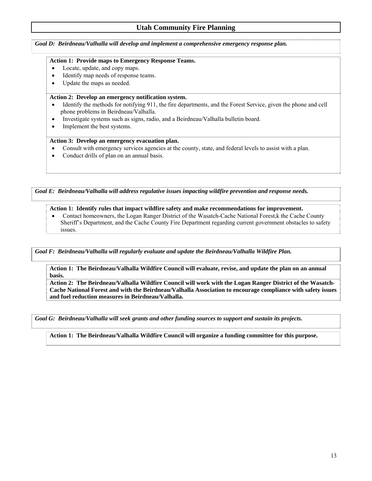*Goal D: Beirdneau/Valhalla will develop and implement a comprehensive emergency response plan.* 

#### **Action 1: Provide maps to Emergency Response Teams.**

- Locate, update, and copy maps.
- Identify map needs of response teams.
- Update the maps as needed.

#### **Action 2: Develop an emergency notification system.**

- Identify the methods for notifying 911, the fire departments, and the Forest Service, given the phone and cell phone problems in Beirdneau/Valhalla.
- Investigate systems such as signs, radio, and a Beirdneau/Valhalla bulletin board.
- Implement the best systems.

#### **Action 3: Develop an emergency evacuation plan.**

- Consult with emergency services agencies at the county, state, and federal levels to assist with a plan.
- Conduct drills of plan on an annual basis.

*Goal E: Beirdneau/Valhalla will address regulative issues impacting wildfire prevention and response needs.* 

#### **Action 1: Identify rules that impact wildfire safety and make recommendations for improvement.**

• Contact homeowners, the Logan Ranger District of the Wasatch-Cache National Forest, k the Cache County Sheriff's Department, and the Cache County Fire Department regarding current government obstacles to safety issues.

*Goal F: Beirdneau/Valhalla will regularly evaluate and update the Beirdneau/Valhalla Wildfire Plan.* 

#### **Action 1: The Beirdneau/Valhalla Wildfire Council will evaluate, revise, and update the plan on an annual basis.**

**Action 2: The Beirdneau/Valhalla Wildfire Council will work with the Logan Ranger District of the Wasatch-Cache National Forest and with the Beirdneau/Valhalla Association to encourage compliance with safety issues and fuel reduction measures in Beirdneau/Valhalla.** 

*Goal G: Beirdneau/Valhalla will seek grants and other funding sources to support and sustain its projects.* 

**Action 1: The Beirdneau/Valhalla Wildfire Council will organize a funding committee for this purpose.**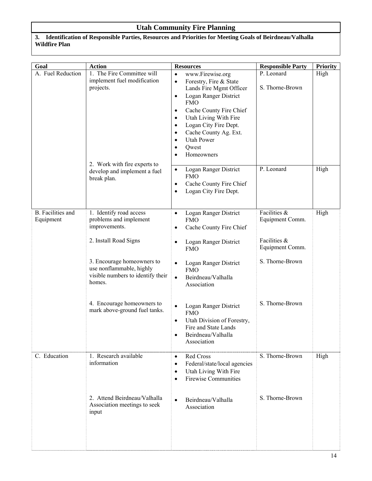#### **3. Identification of Responsible Parties, Resources and Priorities for Meeting Goals of Beirdneau/Valhalla Wildfire Plan**

| Goal                                  | <b>Action</b>                                                                                                                                                                                                                                                       | <b>Resources</b>                                                                                                                                                                                                                                                                                                                                                                     | <b>Responsible Party</b>                                                                                 | <b>Priority</b> |
|---------------------------------------|---------------------------------------------------------------------------------------------------------------------------------------------------------------------------------------------------------------------------------------------------------------------|--------------------------------------------------------------------------------------------------------------------------------------------------------------------------------------------------------------------------------------------------------------------------------------------------------------------------------------------------------------------------------------|----------------------------------------------------------------------------------------------------------|-----------------|
| A. Fuel Reduction                     | 1. The Fire Committee will<br>implement fuel modification<br>projects.                                                                                                                                                                                              | www.Firewise.org<br>$\bullet$<br>Forestry, Fire & State<br>$\bullet$<br>Lands Fire Mgmt Officer<br>Logan Ranger District<br>$\bullet$<br><b>FMO</b><br>Cache County Fire Chief<br>$\bullet$<br>Utah Living With Fire<br>$\bullet$<br>Logan City Fire Dept.<br>$\bullet$<br>Cache County Ag. Ext.<br>$\bullet$<br><b>Utah Power</b><br>$\bullet$<br>Qwest<br>$\bullet$<br>Homeowners  | P. Leonard<br>S. Thorne-Brown                                                                            | High            |
|                                       | 2. Work with fire experts to<br>develop and implement a fuel<br>break plan.                                                                                                                                                                                         | Logan Ranger District<br>$\bullet$<br><b>FMO</b><br>Cache County Fire Chief<br>$\bullet$<br>Logan City Fire Dept.<br>$\bullet$                                                                                                                                                                                                                                                       | P. Leonard                                                                                               | High            |
| <b>B.</b> Facilities and<br>Equipment | 1. Identify road access<br>problems and implement<br>improvements.<br>2. Install Road Signs<br>3. Encourage homeowners to<br>use nonflammable, highly<br>visible numbers to identify their<br>homes.<br>4. Encourage homeowners to<br>mark above-ground fuel tanks. | Logan Ranger District<br>$\bullet$<br><b>FMO</b><br>Cache County Fire Chief<br>Logan Ranger District<br><b>FMO</b><br>Logan Ranger District<br><b>FMO</b><br>Beirdneau/Valhalla<br>$\bullet$<br>Association<br>Logan Ranger District<br>$\bullet$<br><b>FMO</b><br>Utah Division of Forestry,<br>$\bullet$<br>Fire and State Lands<br>Beirdneau/Valhalla<br>$\bullet$<br>Association | Facilities &<br>Equipment Comm.<br>Facilities &<br>Equipment Comm.<br>S. Thorne-Brown<br>S. Thorne-Brown | High            |
| C. Education                          | 1. Research available<br>information<br>2. Attend Beirdneau/Valhalla<br>Association meetings to seek<br>input                                                                                                                                                       | Red Cross<br>$\bullet$<br>Federal/state/local agencies<br>$\bullet$<br>Utah Living With Fire<br>$\bullet$<br><b>Firewise Communities</b><br>$\bullet$<br>Beirdneau/Valhalla<br>$\bullet$<br>Association                                                                                                                                                                              | S. Thorne-Brown<br>S. Thorne-Brown                                                                       | High            |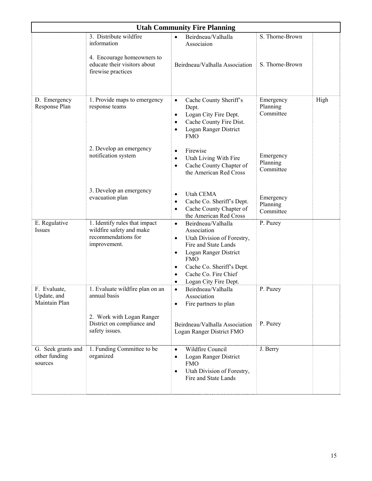| <b>Utah Community Fire Planning</b>            |                                                                                                  |                                                                                                                                                                                                                             |                                    |      |  |
|------------------------------------------------|--------------------------------------------------------------------------------------------------|-----------------------------------------------------------------------------------------------------------------------------------------------------------------------------------------------------------------------------|------------------------------------|------|--|
|                                                | 3. Distribute wildfire<br>information                                                            | Beirdneau/Valhalla<br>$\bullet$<br>Associaion                                                                                                                                                                               | S. Thorne-Brown                    |      |  |
|                                                | 4. Encourage homeowners to<br>educate their visitors about<br>firewise practices                 | Beirdneau/Valhalla Association                                                                                                                                                                                              | S. Thorne-Brown                    |      |  |
| D. Emergency<br>Response Plan                  | 1. Provide maps to emergency<br>response teams                                                   | Cache County Sheriff's<br>$\bullet$<br>Dept.<br>Logan City Fire Dept.<br>$\bullet$<br>Cache County Fire Dist.<br>$\bullet$<br>Logan Ranger District<br>٠<br><b>FMO</b>                                                      | Emergency<br>Planning<br>Committee | High |  |
|                                                | 2. Develop an emergency<br>notification system                                                   | Firewise<br>$\bullet$<br>Utah Living With Fire<br>$\bullet$<br>Cache County Chapter of<br>$\bullet$<br>the American Red Cross                                                                                               | Emergency<br>Planning<br>Committee |      |  |
|                                                | 3. Develop an emergency<br>evacuation plan                                                       | Utah CEMA<br>$\bullet$<br>Cache Co. Sheriff's Dept.<br>$\bullet$<br>Cache County Chapter of<br>٠<br>the American Red Cross                                                                                                  | Emergency<br>Planning<br>Committee |      |  |
| E. Regulative<br>Issues                        | 1. Identify rules that impact<br>wildfire safety and make<br>recommendations for<br>improvement. | Beirdneau/Valhalla<br>٠<br>Association<br>Utah Division of Forestry,<br>Fire and State Lands<br>Logan Ranger District<br>٠<br><b>FMO</b><br>Cache Co. Sheriff's Dept.<br>Cache Co. Fire Chief<br>Logan City Fire Dept.<br>٠ | P. Puzey                           |      |  |
| F. Evaluate,<br>Update, and<br>Maintain Plan   | 1. Evaluate wildfire plan on an<br>annual basis                                                  | Beirdneau/Valhalla<br>$\bullet$<br>Association<br>Fire partners to plan<br>$\bullet$                                                                                                                                        | P. Puzey                           |      |  |
|                                                | 2. Work with Logan Ranger<br>District on compliance and<br>safety issues.                        | Beirdneau/Valhalla Association<br>Logan Ranger District FMO                                                                                                                                                                 | P. Puzey                           |      |  |
| G. Seek grants and<br>other funding<br>sources | 1. Funding Committee to be<br>organized                                                          | Wildfire Council<br>$\bullet$<br>Logan Ranger District<br><b>FMO</b><br>Utah Division of Forestry,<br>$\bullet$<br>Fire and State Lands                                                                                     | J. Berry                           |      |  |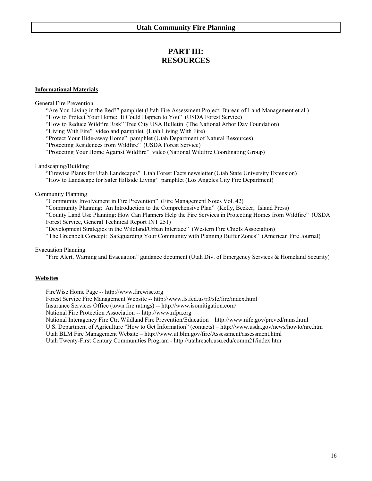# **PART III: RESOURCES**

#### **Informational Materials**

#### General Fire Prevention

"Are You Living in the Red?" pamphlet (Utah Fire Assessment Project: Bureau of Land Management et.al.) "How to Protect Your Home: It Could Happen to You" (USDA Forest Service)

"How to Reduce Wildfire Risk" Tree City USA Bulletin (The National Arbor Day Foundation)

"Living With Fire" video and pamphlet (Utah Living With Fire)

"Protect Your Hide-away Home" pamphlet (Utah Department of Natural Resources)

"Protecting Residences from Wildfire" (USDA Forest Service)

"Protecting Your Home Against Wildfire" video (National Wildfire Coordinating Group)

#### Landscaping/Building

"Firewise Plants for Utah Landscapes" Utah Forest Facts newsletter (Utah State University Extension) "How to Landscape for Safer Hillside Living" pamphlet (Los Angeles City Fire Department)

#### Community Planning

"Community Involvement in Fire Prevention" (Fire Management Notes Vol. 42)

"Community Planning: An Introduction to the Comprehensive Plan" (Kelly, Becker; Island Press) "County Land Use Planning: How Can Planners Help the Fire Services in Protecting Homes from Wildfire" (USDA

Forest Service, General Technical Report INT 251)

"Development Strategies in the Wildland/Urban Interface" (Western Fire Chiefs Association)

"The Greenbelt Concept: Safeguarding Your Community with Planning Buffer Zones" (American Fire Journal)

#### Evacuation Planning

"Fire Alert, Warning and Evacuation" guidance document (Utah Div. of Emergency Services & Homeland Security)

#### **Websites**

FireWise Home Page -- http://www.firewise.org

Forest Service Fire Management Website -- http://www.fs.fed.us/r3/sfe/fire/index.html

Insurance Services Office (town fire ratings) -- http://www.isomitigation.com/

National Fire Protection Association -- http://www.nfpa.org

National Interagency Fire Ctr, Wildland Fire Prevention/Education – http://www.nifc.gov/preved/rams.html

U.S. Department of Agriculture "How to Get Information" (contacts) – http://www.usda.gov/news/howto/nre.htm

Utah BLM Fire Management Website – http://www.ut.blm.gov/fire/Assessment/assessment.html

Utah Twenty-First Century Communities Program - http://utahreach.usu.edu/comm21/index.htm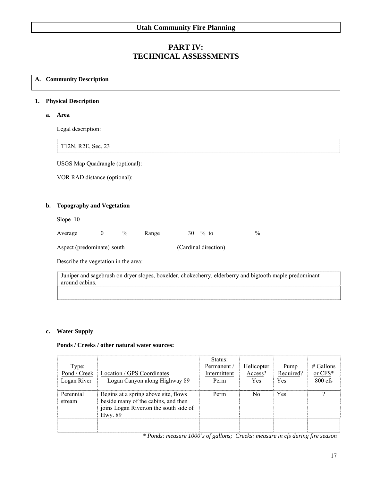# **PART IV: TECHNICAL ASSESSMENTS**

#### **A. Community Description**

#### **1. Physical Description**

 **a. Area** 

Legal description:

T12N, R2E, Sec. 23

USGS Map Quadrangle (optional):

VOR RAD distance (optional):

#### **b. Topography and Vegetation**

Slope 10

| verage<br>1.111 | $\frac{v}{0}$ | Range | $\frac{0}{0}$<br>to | ′∩ |
|-----------------|---------------|-------|---------------------|----|
|                 |               |       |                     |    |

Aspect (predominate) south (Cardinal direction)

Describe the vegetation in the area:

Juniper and sagebrush on dryer slopes, boxelder, chokecherry, elderberry and bigtooth maple predominant around cabins.

#### **c. Water Supply**

### **Ponds / Creeks / other natural water sources:**

| Type:               |                                                                                                                                  | Status:<br>Permanent / | Helicopter | Pump      | $\#$ Gallons |
|---------------------|----------------------------------------------------------------------------------------------------------------------------------|------------------------|------------|-----------|--------------|
| Pond / Creek        | Location / GPS Coordinates                                                                                                       | Intermittent           | Access?    | Required? | or CFS*      |
| Logan River         | Logan Canyon along Highway 89                                                                                                    | Perm                   | Yes        | Yes       | $800$ cfs    |
| Perennial<br>stream | Begins at a spring above site, flows<br>beside many of the cabins, and then<br>joins Logan River.on the south side of<br>Hwy. 89 | Perm                   | No.        | Yes       | 9            |
|                     |                                                                                                                                  |                        |            |           |              |

*\* Ponds: measure 1000's of gallons; Creeks: measure in cfs during fire season*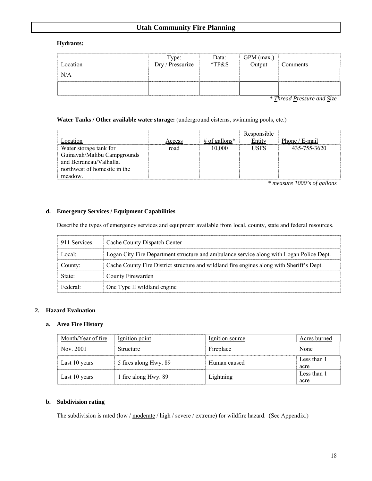#### **Hydrants:**

| Location | Type:<br>Dry / Prescurize | Data:<br>*TP&S | GPM (max.)<br>Output | Comments |
|----------|---------------------------|----------------|----------------------|----------|
| N/A      |                           |                |                      |          |
|          |                           |                |                      |          |

*\* Thread Pressure and Size* 

#### **Water Tanks / Other available water storage:** (underground cisterns, swimming pools, etc.)

| Location                                                                                                                    | Access | # of gallons* | Responsible<br>Entity | Phone $/E$ -mail |
|-----------------------------------------------------------------------------------------------------------------------------|--------|---------------|-----------------------|------------------|
| Water storage tank for<br>Guinavah/Malibu Campgrounds<br>and Beirdneau/Valhalla.<br>northwest of homesite in the<br>meadow. | road   | 10.000        | <b>USFS</b>           | 435-755-3620     |

*\* measure 1000's of gallons* 

#### **d. Emergency Services / Equipment Capabilities**

Describe the types of emergency services and equipment available from local, county, state and federal resources.

| 911 Services: | Cache County Dispatch Center                                                              |
|---------------|-------------------------------------------------------------------------------------------|
| Local:        | Logan City Fire Department structure and ambulance service along with Logan Police Dept.  |
| County:       | Cache County Fire District structure and wildland fire engines along with Sheriff's Dept. |
| State:        | County Firewarden                                                                         |
| $Federal+$    | One Type II wildland engine                                                               |

#### **2. Hazard Evaluation**

#### **a. Area Fire History**

| Month/Year of fire | Ignition point        | Ignition source | Acres burned        |
|--------------------|-----------------------|-----------------|---------------------|
| Nov. 2001          | Structure             | Fireplace       | None                |
| Last 10 years      | 5 fires along Hwy. 89 | Human caused    | Less than 1<br>acre |
| Last 10 years      | 1 fire along Hwy. 89  | Lightning       | Less than 1<br>acre |

#### **b. Subdivision rating**

The subdivision is rated (low / moderate / high / severe / extreme) for wildfire hazard. (See Appendix.)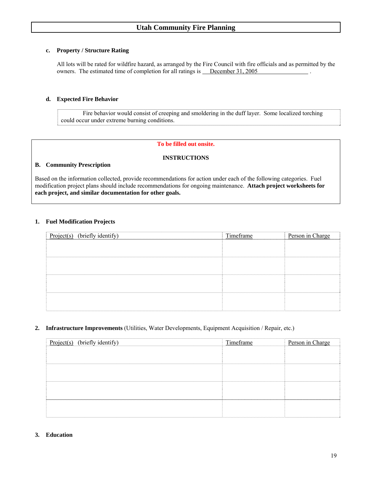#### **c. Property / Structure Rating**

All lots will be rated for wildfire hazard, as arranged by the Fire Council with fire officials and as permitted by the owners. The estimated time of completion for all ratings is December 31, 2005

#### **d. Expected Fire Behavior**

 Fire behavior would consist of creeping and smoldering in the duff layer. Some localized torching could occur under extreme burning conditions.

#### **To be filled out onsite.**

#### **INSTRUCTIONS**

#### **B. Community Prescription**

Based on the information collected, provide recommendations for action under each of the following categories. Fuel modification project plans should include recommendations for ongoing maintenance. **Attach project worksheets for each project, and similar documentation for other goals.** 

#### **1. Fuel Modification Projects**

| Project(s) (briefly identify) | Timeframe | Person in Charge |
|-------------------------------|-----------|------------------|
|                               |           |                  |
|                               |           |                  |
|                               |           |                  |
|                               |           |                  |
|                               |           |                  |
|                               |           |                  |
|                               |           |                  |
|                               |           |                  |

#### **2. Infrastructure Improvements** (Utilities, Water Developments, Equipment Acquisition / Repair, etc.)

| Project(s) (briefly identify) | Timeframe | Person in Charge |
|-------------------------------|-----------|------------------|
|                               |           |                  |
|                               |           |                  |
|                               |           |                  |
|                               |           |                  |
|                               |           |                  |
|                               |           |                  |
|                               |           |                  |
|                               |           |                  |

#### **3. Education**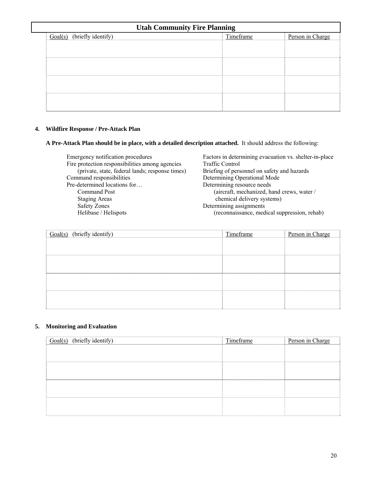| <b>Utah Community Fire Planning</b> |           |                  |  |
|-------------------------------------|-----------|------------------|--|
| (briefly identify)<br>Goal(s)       | Timeframe | Person in Charge |  |
|                                     |           |                  |  |
|                                     |           |                  |  |
|                                     |           |                  |  |
|                                     |           |                  |  |
|                                     |           |                  |  |
|                                     |           |                  |  |
|                                     |           |                  |  |
|                                     |           |                  |  |
|                                     |           |                  |  |

# **4. Wildfire Response / Pre-Attack Plan**

**A Pre-Attack Plan should be in place, with a detailed description attached.** It should address the following:

| Emergency notification procedures               | Factors in determining evacuation vs. shelter-in-place |
|-------------------------------------------------|--------------------------------------------------------|
| Fire protection responsibilities among agencies | <b>Traffic Control</b>                                 |
| (private, state, federal lands; response times) | Briefing of personnel on safety and hazards            |
| Command responsibilities                        | Determining Operational Mode                           |
| Pre-determined locations for                    | Determining resource needs                             |
| <b>Command Post</b>                             | (aircraft, mechanized, hand crews, water /             |
| <b>Staging Areas</b>                            | chemical delivery systems)                             |
| <b>Safety Zones</b>                             | Determining assignments                                |
| Helibase / Helispots                            | (reconnaissance, medical suppression, rehab)           |
|                                                 |                                                        |

| $Goal(s)$ (briefly identify) | Timeframe | Person in Charge |
|------------------------------|-----------|------------------|
|                              |           |                  |
|                              |           |                  |
|                              |           |                  |
|                              |           |                  |
|                              |           |                  |
|                              |           |                  |
|                              |           |                  |
|                              |           |                  |

# **5. Monitoring and Evaluation**

| (briefly identify)<br>Goal(s) | Timeframe | Person in Charge |
|-------------------------------|-----------|------------------|
|                               |           |                  |
|                               |           |                  |
|                               |           |                  |
|                               |           |                  |
|                               |           |                  |
|                               |           |                  |
|                               |           |                  |
|                               |           |                  |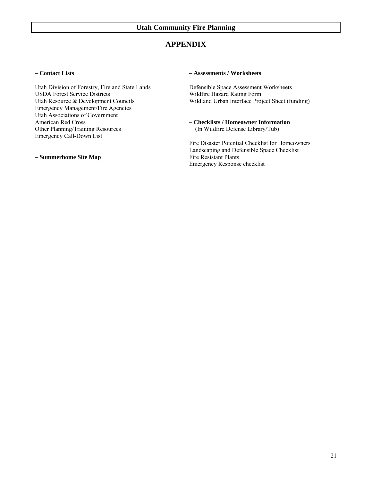# **APPENDIX**

#### **– Contact Lists**

Utah Division of Forestry, Fire and State Lands USDA Forest Service Districts Utah Resource & Development Councils Emergency Management/Fire Agencies Utah Associations of Government American Red Cross Other Planning/Training Resources Emergency Call-Down List

**– Summerhome Site Map** 

#### **– Assessments / Worksheets**

Defensible Space Assessment Worksheets Wildfire Hazard Rating Form Wildland Urban Interface Project Sheet (funding)

**– Checklists / Homeowner Information** (In Wildfire Defense Library/Tub)

Fire Disaster Potential Checklist for Homeowners Landscaping and Defensible Space Checklist Fire Resistant Plants Emergency Response checklist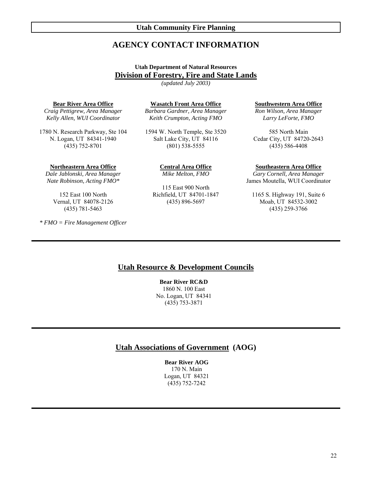# **AGENCY CONTACT INFORMATION**

### **Utah Department of Natural Resources Division of Forestry, Fire and State Lands**

*(updated July 2003)* 

#### **Bear River Area Office**

*Craig Pettigrew, Area Manager Kelly Allen, WUI Coordinator* 

1780 N. Research Parkway, Ste 104 N. Logan, UT 84341-1940 (435) 752-8701

**Northeastern Area Office** *Dale Jablonski, Area Manager* 

*Nate Robinson, Acting FMO\**

152 East 100 North Vernal, UT 84078-2126 (435) 781-5463

*\* FMO = Fire Management Officer* 

**Wasatch Front Area Office**

*Barbara Gardner, Area Manager Keith Crumpton, Acting FMO* 

1594 W. North Temple, Ste 3520 Salt Lake City, UT 84116 (801) 538-5555

> **Central Area Office** *Mike Melton, FMO*

115 East 900 North Richfield, UT 84701-1847 (435) 896-5697

**Southwestern Area Office**

*Ron Wilson, Area Manager Larry LeForte, FMO*

585 North Main Cedar City, UT 84720-2643 (435) 586-4408

#### **Southeastern Area Office**

*Gary Cornell, Area Manager*  James Moutella, WUI Coordinator

1165 S. Highway 191, Suite 6 Moab, UT 84532-3002 (435) 259-3766

#### **Utah Resource & Development Councils**

**Bear River RC&D**  1860 N. 100 East No. Logan, UT 84341 (435) 753-3871

#### **Utah Associations of Government (AOG)**

**Bear River AOG**  170 N. Main Logan, UT 84321 (435) 752-7242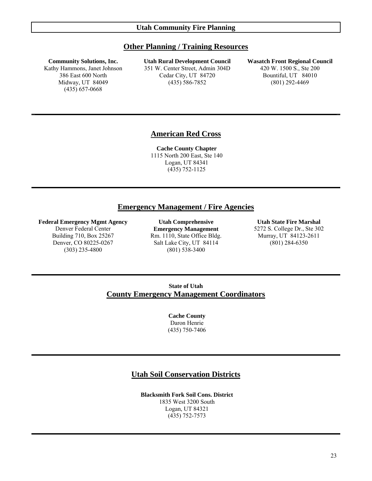#### **Other Planning / Training Resources**

#### **Community Solutions, Inc.**

Kathy Hammons, Janet Johnson 386 East 600 North Midway, UT 84049 (435) 657-0668

**Utah Rural Development Council** 351 W. Center Street, Admin 304D Cedar City, UT 84720 (435) 586-7852

#### **Wasatch Front Regional Council** 420 W. 1500 S., Ste 200 Bountiful, UT 84010 (801) 292-4469

# **American Red Cross**

**Cache County Chapter**  1115 North 200 East, Ste 140 Logan, UT 84341 (435) 752-1125

#### **Emergency Management / Fire Agencies**

#### **Federal Emergency Mgmt Agency**

Denver Federal Center Building 710, Box 25267 Denver, CO 80225-0267 (303) 235-4800

**Utah Comprehensive Emergency Management** Rm. 1110, State Office Bldg. Salt Lake City, UT 84114 (801) 538-3400

**Utah State Fire Marshal**  5272 S. College Dr., Ste 302 Murray, UT 84123-2611 (801) 284-6350

# **State of Utah County Emergency Management Coordinators**

**Cache County** Daron Henrie (435) 750-7406

# **Utah Soil Conservation Districts**

**Blacksmith Fork Soil Cons. District** 1835 West 3200 South Logan, UT 84321 (435) 752-7573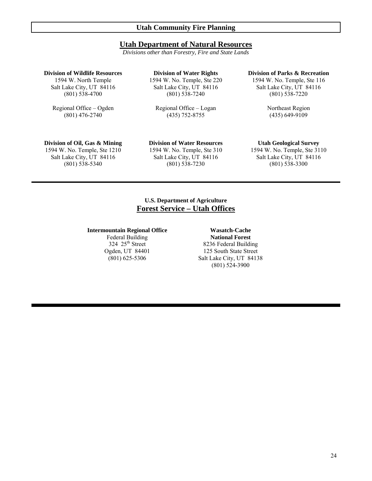# **Utah Department of Natural Resources**

*Divisions other than Forestry, Fire and State Lands* 

#### **Division of Wildlife Resources**

1594 W. North Temple Salt Lake City, UT 84116 (801) 538-4700

Regional Office – Ogden (801) 476-2740

**Division of Water Rights**  1594 W. No. Temple, Ste 220 Salt Lake City, UT 84116 (801) 538-7240

Regional Office – Logan (435) 752-8755

#### **Division of Parks & Recreation**

1594 W. No. Temple, Ste 116 Salt Lake City, UT 84116 (801) 538-7220

> Northeast Region (435) 649-9109

# **Division of Oil, Gas & Mining**

1594 W. No. Temple, Ste 1210 Salt Lake City, UT 84116 (801) 538-5340

**Division of Water Resources**  1594 W. No. Temple, Ste 310

# Salt Lake City, UT 84116 (801) 538-7230

#### **Utah Geological Survey**

1594 W. No. Temple, Ste 3110 Salt Lake City, UT 84116 (801) 538-3300

# **U.S. Department of Agriculture Forest Service – Utah Offices**

# **Intermountain Regional Office**  Federal Building

324 25<sup>th</sup> Street Ogden, UT 84401 (801) 625-5306

**Wasatch-Cache National Forest** 8236 Federal Building 125 South State Street Salt Lake City, UT 84138 (801) 524-3900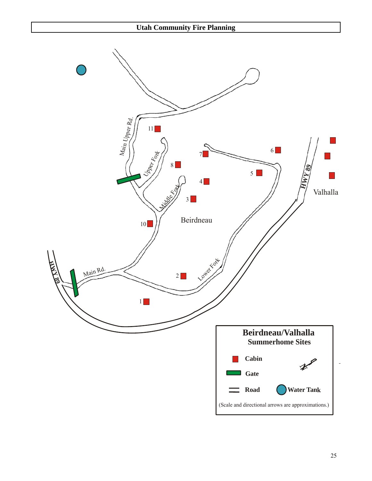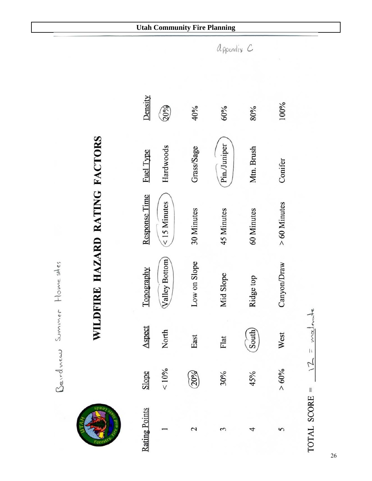



# WILDFIRE HAZARD RATING FACTORS

| Density              | Q0%            | 40%                | 60%          | 80%          | 100%          |
|----------------------|----------------|--------------------|--------------|--------------|---------------|
| Fuel Type            | Hardwoods      | Grass/Sage         | Pin./Juniper | Mtn. Brush   | Conifer       |
| <b>Response Time</b> | $<$ 15 Minutes | 30 Minutes         | 45 Minutes   | 60 Minutes   | $>60$ Minutes |
| Topography           | Valley Bottom  | Low on Slope       | Mid Slope    | Ridge top    | Canyon/Draw   |
| Aspect               | North          | East               | Flat         | <b>South</b> | West          |
| Slope                | ${}_{10\%}$    | (20%               | 30%          | 45%          | $> 60\%$      |
| <b>Rating Points</b> |                | $\scriptstyle\sim$ |              |              |               |

moderate  $\bar{W}$  $\overline{z}$ TOTAL SCORE =

appendix C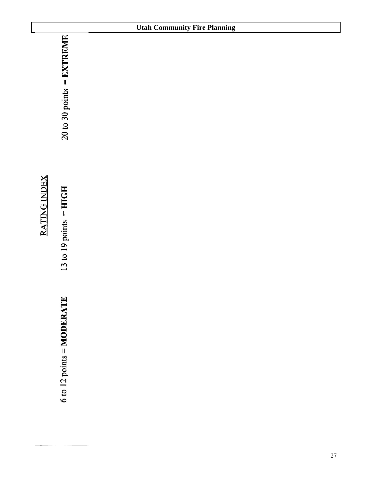|                                                     | <b>Utah Community Fire Planning</b> |
|-----------------------------------------------------|-------------------------------------|
| $20$ to 30 points = EXTREME                         |                                     |
| $13$ to $19$ points = HIGH                          |                                     |
| $6 \text{ to } 12 \text{ points} = \text{MODERATE}$ |                                     |
|                                                     |                                     |